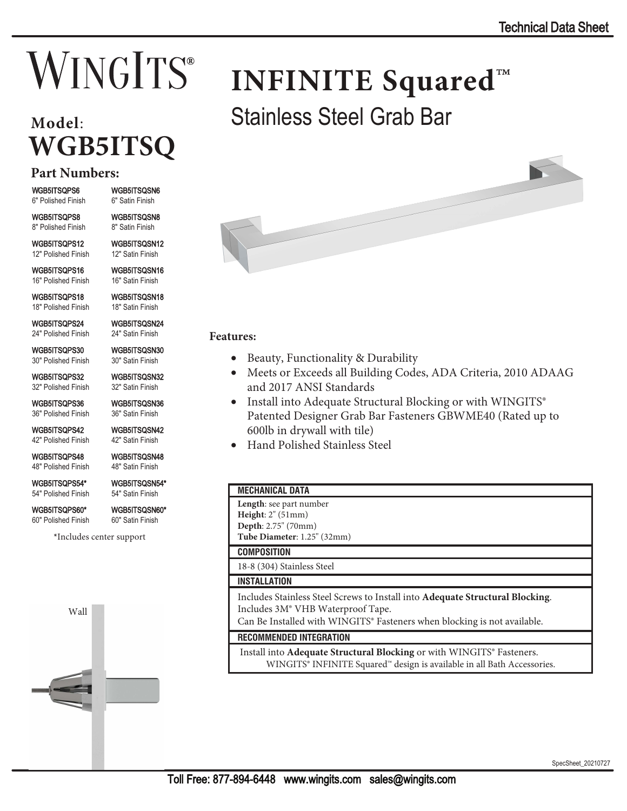# **WINGITS**®

# **Model**: **WGB5ITSQ**

### **Part Numbers:**

WGB5ITSOPS6 WGB5ITSOSN6 6" Polished Finish 6" Satin Finish

:\*%,76436 :\*%,76461 8" Polished Finish

WGB5ITSQPS12 WGB5ITSQSN12 12" Polished Finish 12" Satin Finish

WGB5ITSQPS16 WGB5ITSQSN16 16" Polished Finish 16" Satin Finish

WGB5ITSQPS18 WGB5ITSQSN18 18" Polished Finish 18" Satin Finish

**WGB5ITSQPS24 WGB5ITSQSN24**<br>24" Polished Finish 24" Satin Finish 24" Polished Finish

**WGB5ITSQPS30 WGB5ITSQSN30**<br>30" Polished Finish 30" Satin Finish 30" Polished Finish

**WGB5ITSQPS32 WGB5ITSQSN32**<br>32" Polished Finish 32" Satin Finish 32" Polished Finish

WGB5ITSQPS36 WGB5ITSQSN36 36" Polished Finish 36" Satin Finish

WGB5ITSQPS42 WGB5ITSQSN42 42" Polished Finish 42" Satin Finish

WGB5ITSQPS48 WGB5ITSQSN48 48" Polished Finish 48" Satin Finish

WGB5ITSQPS54\* WGB5ITSQSN54\* 54" Polished Finish 54" Satin Finish

60" Polished Finish

WGB5ITSQPS60\* WGB5ITSQSN60\*<br>60" Polished Finish 60" Satin Finish

**\***Includes center support



**INFINITE Squared**™ Stainless Steel Grab Bar

#### **Features:**

- Beauty, Functionality & Durability
- Meets or Exceeds all Building Codes, ADA Criteria, 2010 ADAAG and 2017 ANSI Standards
- Install into Adequate Structural Blocking or with WINGITS® Patented Designer Grab Bar Fasteners GBWME40 (Rated up to 600lb in drywall with tile)
- Hand Polished Stainless Steel

#### **MECHANICAL DATA**

| Шечиличке рата                                                                                                                                                                                             |
|------------------------------------------------------------------------------------------------------------------------------------------------------------------------------------------------------------|
| Length: see part number<br>Height: $2"$ (51mm)                                                                                                                                                             |
| Depth: 2.75" (70mm)                                                                                                                                                                                        |
| Tube Diameter: 1.25" (32mm)                                                                                                                                                                                |
| <b>COMPOSITION</b>                                                                                                                                                                                         |
| 18-8 (304) Stainless Steel                                                                                                                                                                                 |
| <b>INSTALLATION</b>                                                                                                                                                                                        |
| Includes Stainless Steel Screws to Install into Adequate Structural Blocking.<br>Includes 3M <sup>®</sup> VHB Waterproof Tape.<br>Can Be Installed with WINGITS® Fasteners when blocking is not available. |
| <b>RECOMMENDED INTEGRATION</b>                                                                                                                                                                             |
| Install into Adequate Structural Blocking or with WINGITS® Fasteners.<br>WINGITS® INFINITE Squared™ design is available in all Bath Accessories.                                                           |
|                                                                                                                                                                                                            |

SpecSheet 20210727